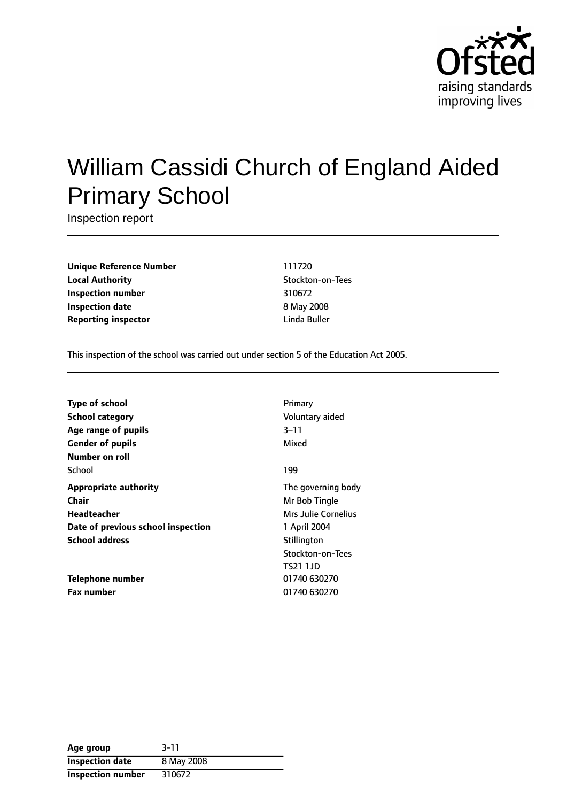

# William Cassidi Church of England Aided Primary School

Inspection report

**Unique Reference Number** 111720 **Local Authority Contains a Local Authority** Stockton-on-Tees **Inspection number** 310672 **Inspection date** 8 May 2008 **Reporting inspector and a linda Buller** Linda Buller

This inspection of the school was carried out under section 5 of the Education Act 2005.

| <b>Type of school</b>              | Primary             |
|------------------------------------|---------------------|
| <b>School category</b>             | Voluntary aided     |
| Age range of pupils                | $3 - 11$            |
| <b>Gender of pupils</b>            | Mixed               |
| Number on roll                     |                     |
| School                             | 199                 |
| <b>Appropriate authority</b>       | The governing body  |
| Chair                              | Mr Bob Tingle       |
| Headteacher                        | Mrs Julie Cornelius |
| Date of previous school inspection | 1 April 2004        |
| <b>School address</b>              | Stillington         |
|                                    | Stockton-on-Tees    |
|                                    | TS21 1.JD           |
| Telephone number                   | 01740 630270        |
| <b>Fax number</b>                  | 01740 630270        |

| Age group              | $3 - 11$   |
|------------------------|------------|
| <b>Inspection date</b> | 8 May 2008 |
| Inspection number      | 310672     |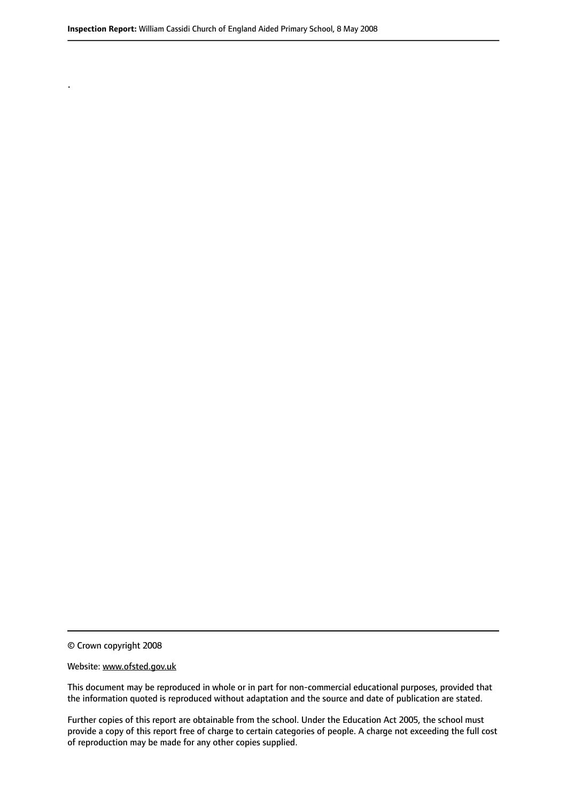© Crown copyright 2008

.

#### Website: www.ofsted.gov.uk

This document may be reproduced in whole or in part for non-commercial educational purposes, provided that the information quoted is reproduced without adaptation and the source and date of publication are stated.

Further copies of this report are obtainable from the school. Under the Education Act 2005, the school must provide a copy of this report free of charge to certain categories of people. A charge not exceeding the full cost of reproduction may be made for any other copies supplied.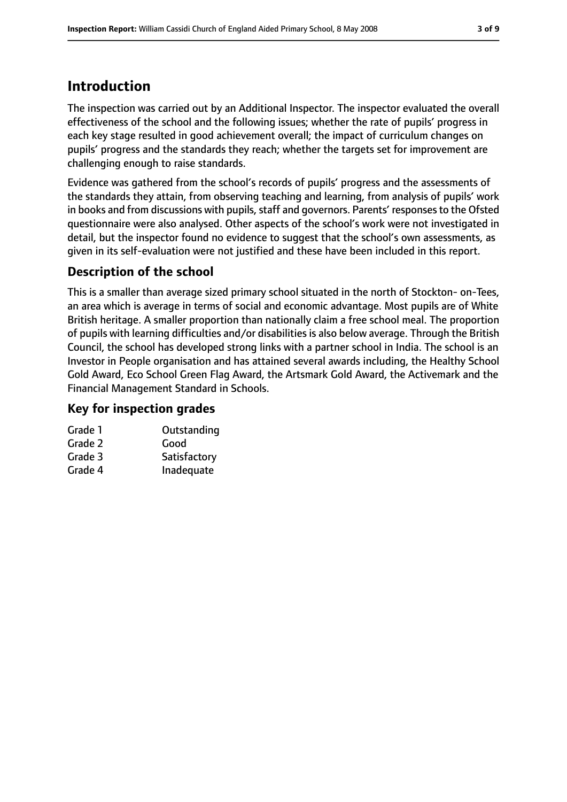# **Introduction**

The inspection was carried out by an Additional Inspector. The inspector evaluated the overall effectiveness of the school and the following issues; whether the rate of pupils' progress in each key stage resulted in good achievement overall; the impact of curriculum changes on pupils' progress and the standards they reach; whether the targets set for improvement are challenging enough to raise standards.

Evidence was gathered from the school's records of pupils' progress and the assessments of the standards they attain, from observing teaching and learning, from analysis of pupils' work in books and from discussions with pupils, staff and governors. Parents' responses to the Ofsted questionnaire were also analysed. Other aspects of the school's work were not investigated in detail, but the inspector found no evidence to suggest that the school's own assessments, as given in its self-evaluation were not justified and these have been included in this report.

## **Description of the school**

This is a smaller than average sized primary school situated in the north of Stockton- on-Tees, an area which is average in terms of social and economic advantage. Most pupils are of White British heritage. A smaller proportion than nationally claim a free school meal. The proportion of pupils with learning difficulties and/or disabilities is also below average. Through the British Council, the school has developed strong links with a partner school in India. The school is an Investor in People organisation and has attained several awards including, the Healthy School Gold Award, Eco School Green Flag Award, the Artsmark Gold Award, the Activemark and the Financial Management Standard in Schools.

#### **Key for inspection grades**

| Grade 1 | Outstanding  |
|---------|--------------|
| Grade 2 | Good         |
| Grade 3 | Satisfactory |
| Grade 4 | Inadequate   |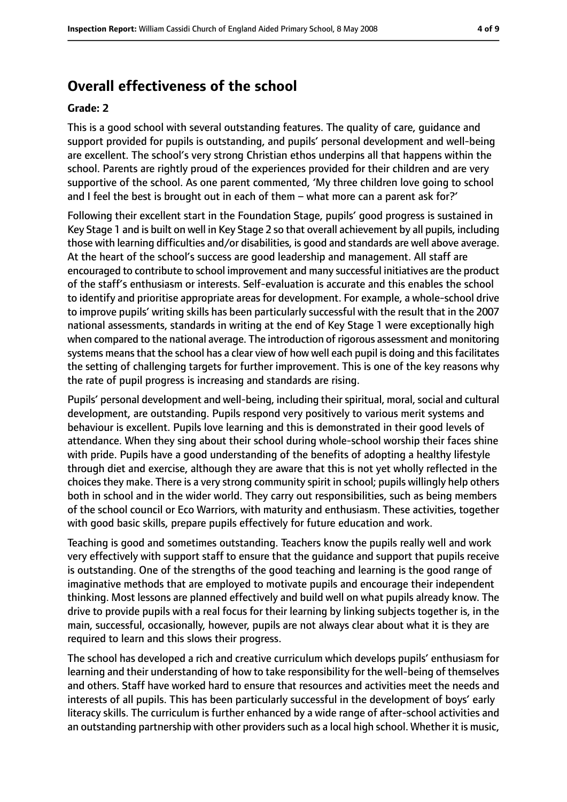## **Overall effectiveness of the school**

#### **Grade: 2**

This is a good school with several outstanding features. The quality of care, guidance and support provided for pupils is outstanding, and pupils' personal development and well-being are excellent. The school's very strong Christian ethos underpins all that happens within the school. Parents are rightly proud of the experiences provided for their children and are very supportive of the school. As one parent commented, 'My three children love going to school and I feel the best is brought out in each of them  $-$  what more can a parent ask for?'

Following their excellent start in the Foundation Stage, pupils' good progress is sustained in Key Stage 1 and is built on well in Key Stage 2 so that overall achievement by all pupils, including those with learning difficulties and/or disabilities, is good and standards are well above average. At the heart of the school's success are good leadership and management. All staff are encouraged to contribute to school improvement and many successful initiatives are the product of the staff's enthusiasm or interests. Self-evaluation is accurate and this enables the school to identify and prioritise appropriate areas for development. For example, a whole-school drive to improve pupils' writing skills has been particularly successful with the result that in the 2007 national assessments, standards in writing at the end of Key Stage 1 were exceptionally high when compared to the national average. The introduction of rigorous assessment and monitoring systems means that the school has a clear view of how well each pupil is doing and this facilitates the setting of challenging targets for further improvement. This is one of the key reasons why the rate of pupil progress is increasing and standards are rising.

Pupils' personal development and well-being, including their spiritual, moral, social and cultural development, are outstanding. Pupils respond very positively to various merit systems and behaviour is excellent. Pupils love learning and this is demonstrated in their good levels of attendance. When they sing about their school during whole-school worship their faces shine with pride. Pupils have a good understanding of the benefits of adopting a healthy lifestyle through diet and exercise, although they are aware that this is not yet wholly reflected in the choices they make. There is a very strong community spirit in school; pupils willingly help others both in school and in the wider world. They carry out responsibilities, such as being members of the school council or Eco Warriors, with maturity and enthusiasm. These activities, together with good basic skills, prepare pupils effectively for future education and work.

Teaching is good and sometimes outstanding. Teachers know the pupils really well and work very effectively with support staff to ensure that the guidance and support that pupils receive is outstanding. One of the strengths of the good teaching and learning is the good range of imaginative methods that are employed to motivate pupils and encourage their independent thinking. Most lessons are planned effectively and build well on what pupils already know. The drive to provide pupils with a real focus for their learning by linking subjects together is, in the main, successful, occasionally, however, pupils are not always clear about what it is they are required to learn and this slows their progress.

The school has developed a rich and creative curriculum which develops pupils' enthusiasm for learning and their understanding of how to take responsibility for the well-being of themselves and others. Staff have worked hard to ensure that resources and activities meet the needs and interests of all pupils. This has been particularly successful in the development of boys' early literacy skills. The curriculum is further enhanced by a wide range of after-school activities and an outstanding partnership with other providers such as a local high school. Whether it is music,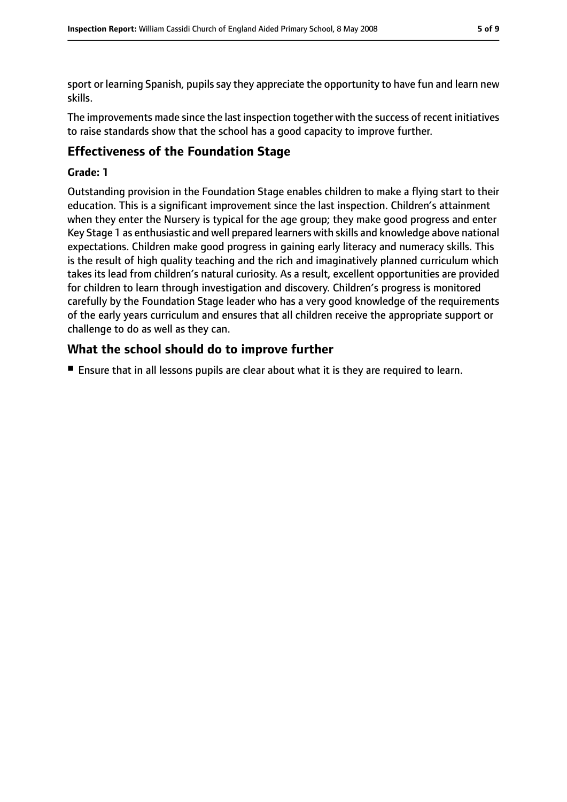sport or learning Spanish, pupils say they appreciate the opportunity to have fun and learn new skills.

The improvements made since the last inspection together with the success of recent initiatives to raise standards show that the school has a good capacity to improve further.

### **Effectiveness of the Foundation Stage**

#### **Grade: 1**

Outstanding provision in the Foundation Stage enables children to make a flying start to their education. This is a significant improvement since the last inspection. Children's attainment when they enter the Nursery is typical for the age group; they make good progress and enter Key Stage 1 as enthusiastic and well prepared learners with skills and knowledge above national expectations. Children make good progress in gaining early literacy and numeracy skills. This is the result of high quality teaching and the rich and imaginatively planned curriculum which takes its lead from children's natural curiosity. As a result, excellent opportunities are provided for children to learn through investigation and discovery. Children's progress is monitored carefully by the Foundation Stage leader who has a very good knowledge of the requirements of the early years curriculum and ensures that all children receive the appropriate support or challenge to do as well as they can.

### **What the school should do to improve further**

■ Ensure that in all lessons pupils are clear about what it is they are required to learn.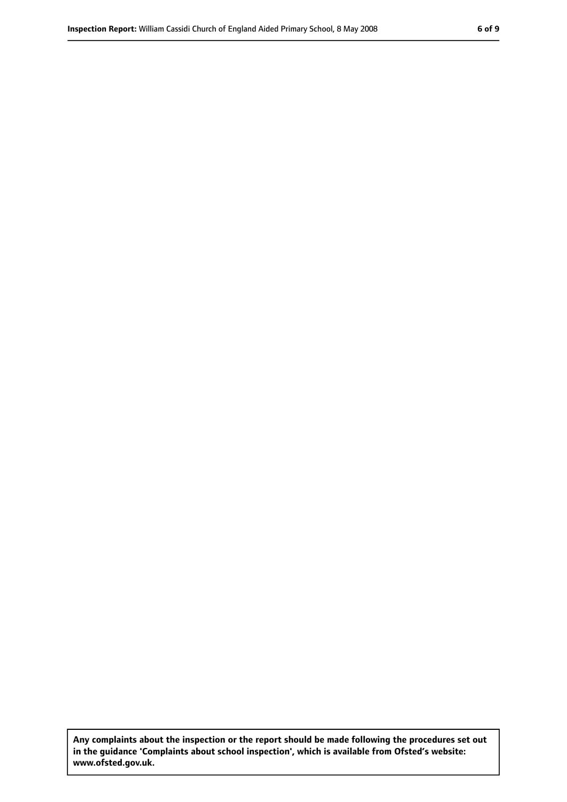**Any complaints about the inspection or the report should be made following the procedures set out in the guidance 'Complaints about school inspection', which is available from Ofsted's website: www.ofsted.gov.uk.**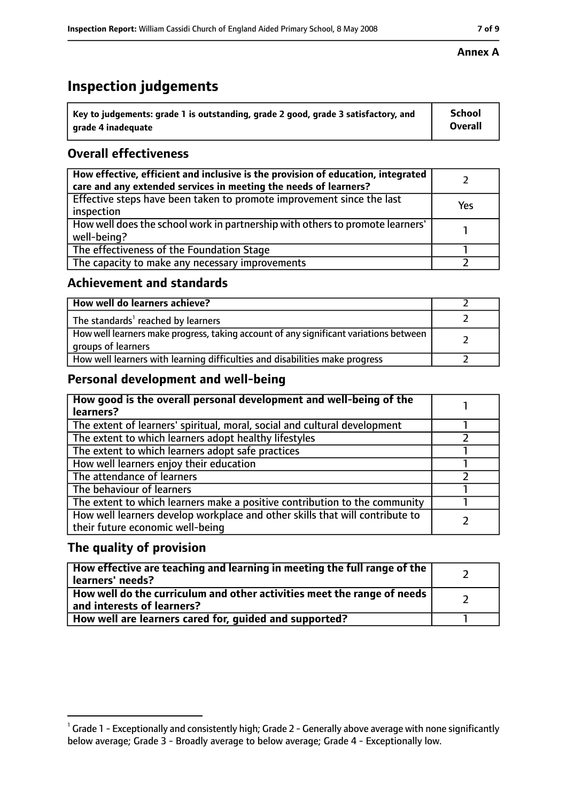# **Inspection judgements**

| $^{\backprime}$ Key to judgements: grade 1 is outstanding, grade 2 good, grade 3 satisfactory, and | <b>School</b>  |
|----------------------------------------------------------------------------------------------------|----------------|
| arade 4 inadeguate                                                                                 | <b>Overall</b> |

## **Overall effectiveness**

| How effective, efficient and inclusive is the provision of education, integrated<br>care and any extended services in meeting the needs of learners? |     |
|------------------------------------------------------------------------------------------------------------------------------------------------------|-----|
| Effective steps have been taken to promote improvement since the last<br>inspection                                                                  | Yes |
| How well does the school work in partnership with others to promote learners'<br>well-being?                                                         |     |
| The effectiveness of the Foundation Stage                                                                                                            |     |
| The capacity to make any necessary improvements                                                                                                      |     |

### **Achievement and standards**

| How well do learners achieve?                                                                               |  |
|-------------------------------------------------------------------------------------------------------------|--|
| The standards <sup>1</sup> reached by learners                                                              |  |
| How well learners make progress, taking account of any significant variations between<br>groups of learners |  |
| How well learners with learning difficulties and disabilities make progress                                 |  |

## **Personal development and well-being**

| How good is the overall personal development and well-being of the<br>learners?                                  |  |
|------------------------------------------------------------------------------------------------------------------|--|
| The extent of learners' spiritual, moral, social and cultural development                                        |  |
| The extent to which learners adopt healthy lifestyles                                                            |  |
| The extent to which learners adopt safe practices                                                                |  |
| How well learners enjoy their education                                                                          |  |
| The attendance of learners                                                                                       |  |
| The behaviour of learners                                                                                        |  |
| The extent to which learners make a positive contribution to the community                                       |  |
| How well learners develop workplace and other skills that will contribute to<br>their future economic well-being |  |

## **The quality of provision**

| How effective are teaching and learning in meeting the full range of the<br>learners' needs?          |  |
|-------------------------------------------------------------------------------------------------------|--|
| How well do the curriculum and other activities meet the range of needs<br>and interests of learners? |  |
| How well are learners cared for, quided and supported?                                                |  |

#### **Annex A**

 $^1$  Grade 1 - Exceptionally and consistently high; Grade 2 - Generally above average with none significantly below average; Grade 3 - Broadly average to below average; Grade 4 - Exceptionally low.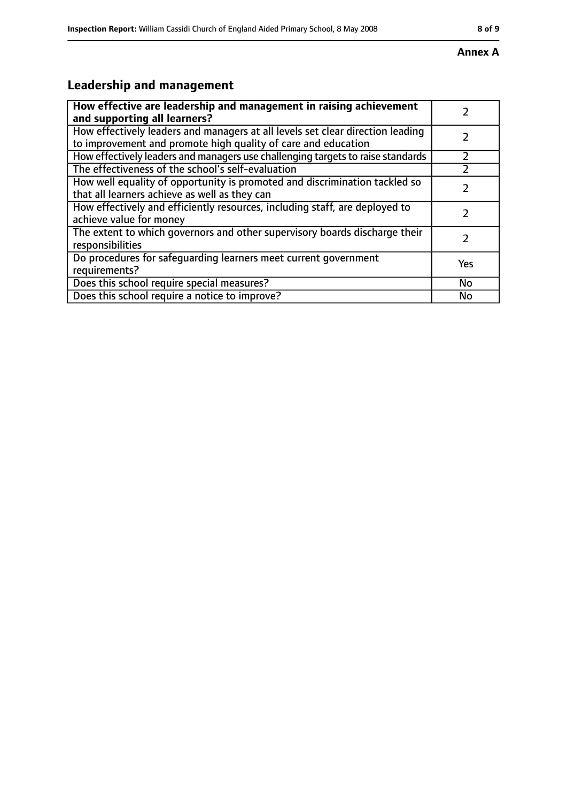#### **Annex A**

# **Leadership and management**

| How effective are leadership and management in raising achievement<br>and supporting all learners?                                              |     |
|-------------------------------------------------------------------------------------------------------------------------------------------------|-----|
| How effectively leaders and managers at all levels set clear direction leading<br>to improvement and promote high quality of care and education |     |
| How effectively leaders and managers use challenging targets to raise standards                                                                 |     |
| The effectiveness of the school's self-evaluation                                                                                               |     |
| How well equality of opportunity is promoted and discrimination tackled so<br>that all learners achieve as well as they can                     |     |
| How effectively and efficiently resources, including staff, are deployed to<br>achieve value for money                                          |     |
| The extent to which governors and other supervisory boards discharge their<br>responsibilities                                                  |     |
| Do procedures for safequarding learners meet current government<br>requirements?                                                                | Yes |
| Does this school require special measures?                                                                                                      | No  |
| Does this school require a notice to improve?                                                                                                   | No  |